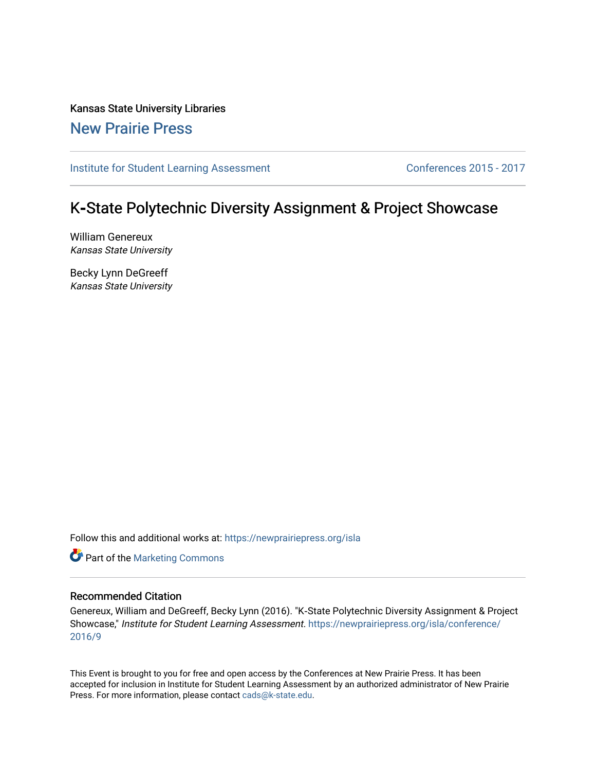Kansas State University Libraries [New Prairie Press](https://newprairiepress.org/) 

[Institute for Student Learning Assessment](https://newprairiepress.org/isla) Conferences 2015 - 2017

### K**‐**State Polytechnic Diversity Assignment & Project Showcase

William Genereux Kansas State University

Becky Lynn DeGreeff Kansas State University

Follow this and additional works at: [https://newprairiepress.org/isla](https://newprairiepress.org/isla?utm_source=newprairiepress.org%2Fisla%2Fconference%2F2016%2F9&utm_medium=PDF&utm_campaign=PDFCoverPages) 

**Part of the [Marketing Commons](http://network.bepress.com/hgg/discipline/638?utm_source=newprairiepress.org%2Fisla%2Fconference%2F2016%2F9&utm_medium=PDF&utm_campaign=PDFCoverPages)** 

#### Recommended Citation

Genereux, William and DeGreeff, Becky Lynn (2016). "K‐State Polytechnic Diversity Assignment & Project Showcase," Institute for Student Learning Assessment. [https://newprairiepress.org/isla/conference/](https://newprairiepress.org/isla/conference/2016/9) [2016/9](https://newprairiepress.org/isla/conference/2016/9)

This Event is brought to you for free and open access by the Conferences at New Prairie Press. It has been accepted for inclusion in Institute for Student Learning Assessment by an authorized administrator of New Prairie Press. For more information, please contact [cads@k-state.edu.](mailto:cads@k-state.edu)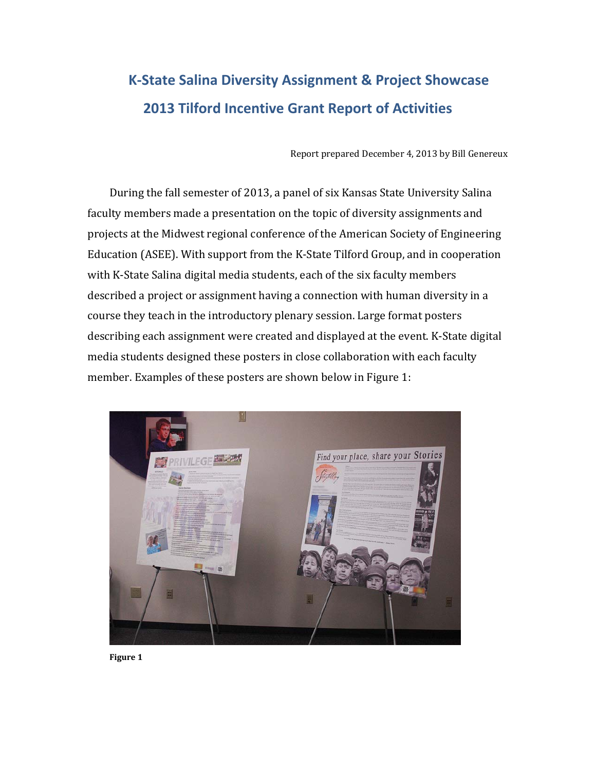## **K‐State Salina Diversity Assignment & Project Showcase 2013 Tilford Incentive Grant Report of Activities**

Report prepared December 4, 2013 by Bill Genereux

During the fall semester of 2013, a panel of six Kansas State University Salina faculty members made a presentation on the topic of diversity assignments and projects at the Midwest regional conference of the American Society of Engineering Education (ASEE). With support from the K‐State Tilford Group, and in cooperation with K-State Salina digital media students, each of the six faculty members described a project or assignment having a connection with human diversity in a course they teach in the introductory plenary session. Large format posters describing each assignment were created and displayed at the event. K‐State digital media students designed these posters in close collaboration with each faculty member. Examples of these posters are shown below in Figure 1:



**Figure 1**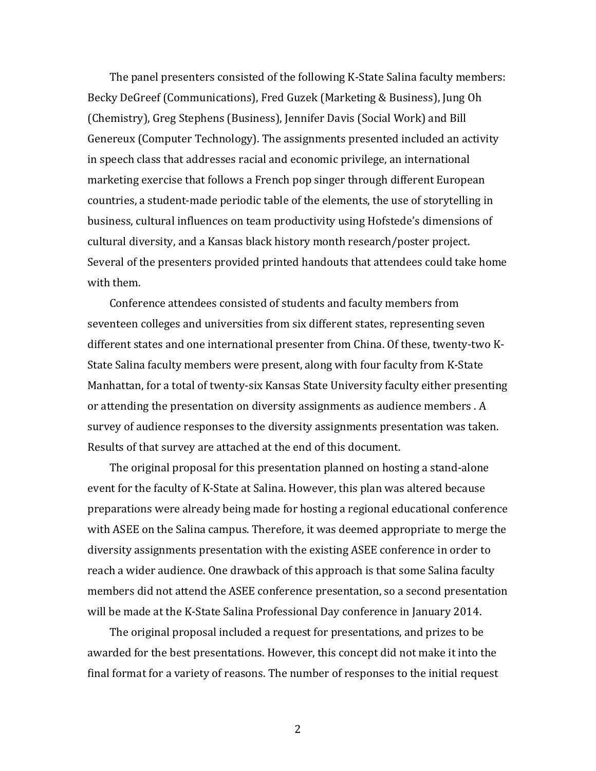The panel presenters consisted of the following K‐State Salina faculty members: Becky DeGreef (Communications), Fred Guzek (Marketing & Business), Jung Oh (Chemistry), Greg Stephens (Business), Jennifer Davis (Social Work) and Bill Genereux (Computer Technology). The assignments presented included an activity in speech class that addresses racial and economic privilege, an international marketing exercise that follows a French pop singer through different European countries, a student‐made periodic table of the elements, the use of storytelling in business, cultural influences on team productivity using Hofstede's dimensions of cultural diversity, and a Kansas black history month research/poster project. Several of the presenters provided printed handouts that attendees could take home with them.

Conference attendees consisted of students and faculty members from seventeen colleges and universities from six different states, representing seven different states and one international presenter from China. Of these, twenty‐two K‐ State Salina faculty members were present, along with four faculty from K‐State Manhattan, for a total of twenty‐six Kansas State University faculty either presenting or attending the presentation on diversity assignments as audience members . A survey of audience responses to the diversity assignments presentation was taken. Results of that survey are attached at the end of this document.

The original proposal for this presentation planned on hosting a stand‐alone event for the faculty of K‐State at Salina. However, this plan was altered because preparations were already being made for hosting a regional educational conference with ASEE on the Salina campus. Therefore, it was deemed appropriate to merge the diversity assignments presentation with the existing ASEE conference in order to reach a wider audience. One drawback of this approach is that some Salina faculty members did not attend the ASEE conference presentation, so a second presentation will be made at the K‐State Salina Professional Day conference in January 2014.

The original proposal included a request for presentations, and prizes to be awarded for the best presentations. However, this concept did not make it into the final format for a variety of reasons. The number of responses to the initial request

2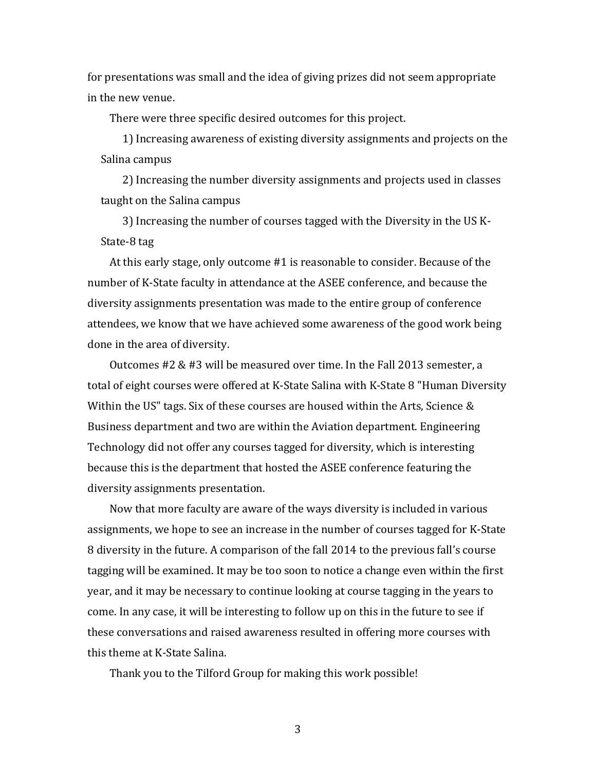for presentations was small and the idea of giving prizes did not seem appropriate in the new venue.

There were three specific desired outcomes for this project.

1) Increasing awareness of existing diversity assignments and projects on the Salina campus

2) Increasing the number diversity assignments and projects used in classes taught on the Salina campus

3) Increasing the number of courses tagged with the Diversity in the US K‐ State‐8 tag

At this early stage, only outcome #1 is reasonable to consider. Because of the number of K‐State faculty in attendance at the ASEE conference, and because the diversity assignments presentation was made to the entire group of conference attendees, we know that we have achieved some awareness of the good work being done in the area of diversity.

Outcomes #2 & #3 will be measured over time. In the Fall 2013 semester, a total of eight courses were offered at K‐State Salina with K‐State 8 "Human Diversity Within the US" tags. Six of these courses are housed within the Arts, Science & Business department and two are within the Aviation department. Engineering Technology did not offer any courses tagged for diversity, which is interesting because this is the department that hosted the ASEE conference featuring the diversity assignments presentation.

Now that more faculty are aware of the ways diversity is included in various assignments, we hope to see an increase in the number of courses tagged for K‐State 8 diversity in the future. A comparison of the fall 2014 to the previous fall's course tagging will be examined. It may be too soon to notice a change even within the first year, and it may be necessary to continue looking at course tagging in the years to come. In any case, it will be interesting to follow up on this in the future to see if these conversations and raised awareness resulted in offering more courses with this theme at K‐State Salina.

Thank you to the Tilford Group for making this work possible!

3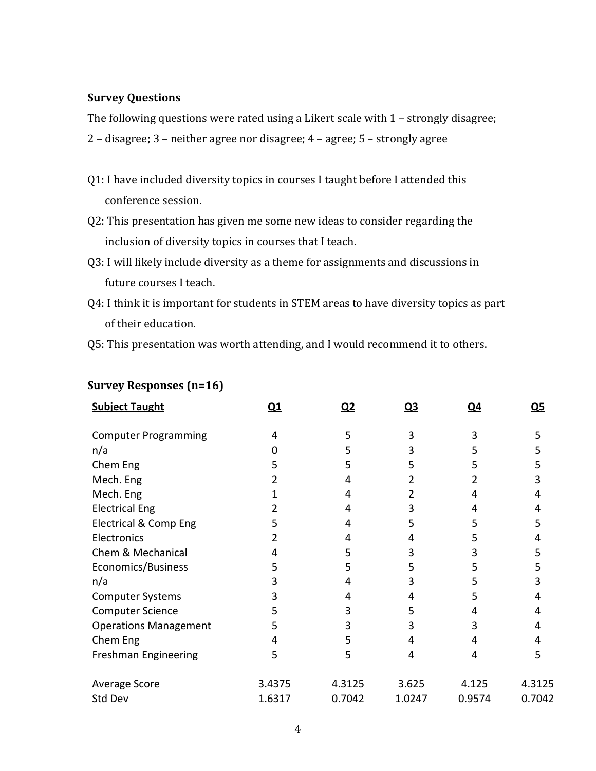#### **Survey Questions**

The following questions were rated using a Likert scale with 1 – strongly disagree;

- 2 disagree; 3 neither agree nor disagree; 4 agree; 5 strongly agree
- Q1: I have included diversity topics in courses I taught before I attended this conference session.
- Q2: This presentation has given me some new ideas to consider regarding the inclusion of diversity topics in courses that I teach.
- Q3: I will likely include diversity as a theme for assignments and discussions in future courses I teach.
- Q4: I think it is important for students in STEM areas to have diversity topics as part of their education.
- Q5: This presentation was worth attending, and I would recommend it to others.

| <b>Subject Taught</b>        | $\overline{\mathbf{Q}}$ | Q2     | <u>Ω3</u> | <u>Ω4</u> | <u>Q5</u> |
|------------------------------|-------------------------|--------|-----------|-----------|-----------|
| <b>Computer Programming</b>  | 4                       | 5      | 3         | 3         | 5         |
| n/a                          |                         | 5      |           | 5         | 5         |
| Chem Eng                     |                         | 5      |           | 5         | 5         |
| Mech. Eng                    |                         |        |           |           | 3         |
| Mech. Eng                    |                         | 4      |           | 4         | 4         |
| <b>Electrical Eng</b>        |                         | 4      | 3         | 4         | 4         |
| Electrical & Comp Eng        | 5                       | 4      | 5         | 5         | 5         |
| Electronics                  |                         |        |           | 5         | 4         |
| Chem & Mechanical            |                         | 5      | ੨         | 3         | 5         |
| Economics/Business           | 5                       | 5      | 5         | 5         | 5         |
| n/a                          |                         | 4      |           | 5         | 3         |
| <b>Computer Systems</b>      |                         |        |           | 5         | 4         |
| <b>Computer Science</b>      |                         | 3      | 5         | 4         | 4         |
| <b>Operations Management</b> | 5                       | 3      | 3         | 3         | 4         |
| Chem Eng                     | 4                       | 5      | 4         | 4         | 4         |
| Freshman Engineering         | 5                       | 5.     |           | 4         | 5         |
| Average Score                | 3.4375                  | 4.3125 | 3.625     | 4.125     | 4.3125    |
| Std Dev                      | 1.6317                  | 0.7042 | 1.0247    | 0.9574    | 0.7042    |

#### **Survey Responses (n=16)**